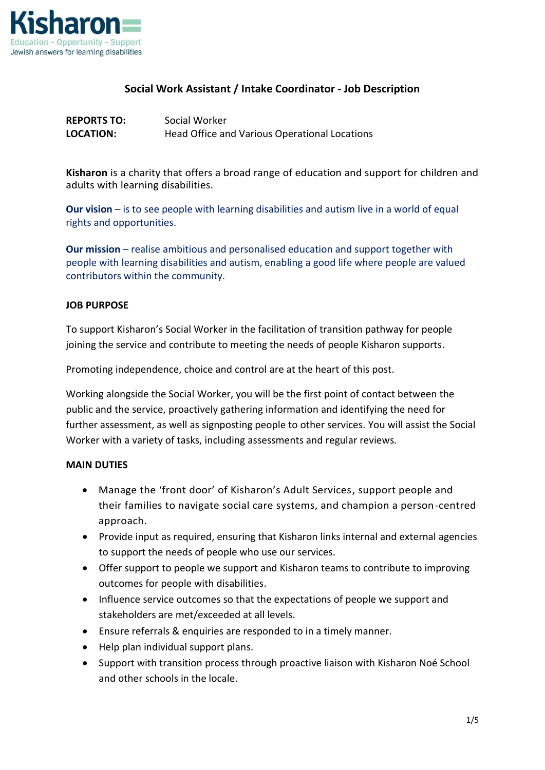

## **Social Work Assistant / Intake Coordinator - Job Description**

| <b>REPORTS TO:</b> | Social Worker                                 |
|--------------------|-----------------------------------------------|
| <b>LOCATION:</b>   | Head Office and Various Operational Locations |

**Kisharon** is a charity that offers a broad range of education and support for children and adults with learning disabilities.

**Our vision** – is to see people with learning disabilities and autism live in a world of equal rights and opportunities.

**Our mission** – realise ambitious and personalised education and support together with people with learning disabilities and autism, enabling a good life where people are valued contributors within the community.

#### **JOB PURPOSE**

To support Kisharon's Social Worker in the facilitation of transition pathway for people joining the service and contribute to meeting the needs of people Kisharon supports.

Promoting independence, choice and control are at the heart of this post.

Working alongside the Social Worker, you will be the first point of contact between the public and the service, proactively gathering information and identifying the need for further assessment, as well as signposting people to other services. You will assist the Social Worker with a variety of tasks, including assessments and regular reviews.

#### **MAIN DUTIES**

- Manage the 'front door' of Kisharon's Adult Services, support people and their families to navigate social care systems, and champion a person-centred approach.
- Provide input as required, ensuring that Kisharon links internal and external agencies to support the needs of people who use our services.
- Offer support to people we support and Kisharon teams to contribute to improving outcomes for people with disabilities.
- Influence service outcomes so that the expectations of people we support and stakeholders are met/exceeded at all levels.
- Ensure referrals & enquiries are responded to in a timely manner.
- Help plan individual support plans.
- Support with transition process through proactive liaison with Kisharon Noé School and other schools in the locale.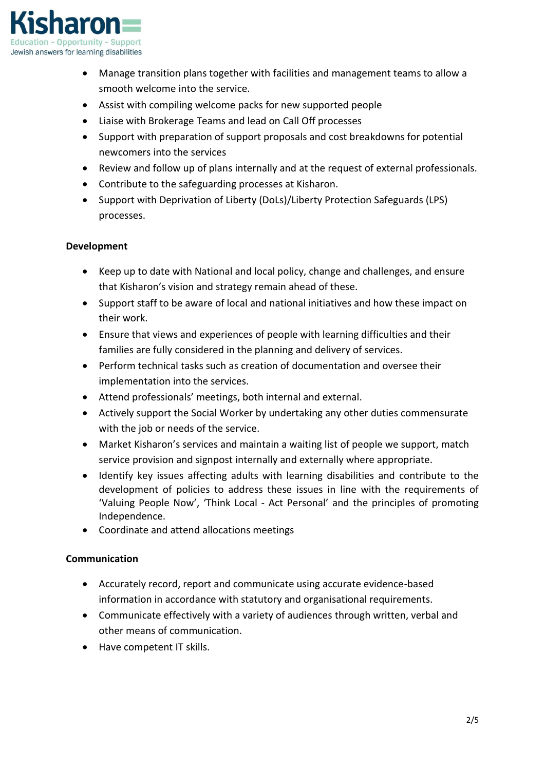

- Manage transition plans together with facilities and management teams to allow a smooth welcome into the service.
- Assist with compiling welcome packs for new supported people
- Liaise with Brokerage Teams and lead on Call Off processes
- Support with preparation of support proposals and cost breakdowns for potential newcomers into the services
- Review and follow up of plans internally and at the request of external professionals.
- Contribute to the safeguarding processes at Kisharon.
- Support with Deprivation of Liberty (DoLs)/Liberty Protection Safeguards (LPS) processes.

## **Development**

- Keep up to date with National and local policy, change and challenges, and ensure that Kisharon's vision and strategy remain ahead of these.
- Support staff to be aware of local and national initiatives and how these impact on their work.
- Ensure that views and experiences of people with learning difficulties and their families are fully considered in the planning and delivery of services.
- Perform technical tasks such as creation of documentation and oversee their implementation into the services.
- Attend professionals' meetings, both internal and external.
- Actively support the Social Worker by undertaking any other duties commensurate with the job or needs of the service.
- Market Kisharon's services and maintain a waiting list of people we support, match service provision and signpost internally and externally where appropriate.
- Identify key issues affecting adults with learning disabilities and contribute to the development of policies to address these issues in line with the requirements of 'Valuing People Now', 'Think Local - Act Personal' and the principles of promoting Independence.
- Coordinate and attend allocations meetings

## **Communication**

- Accurately record, report and communicate using accurate evidence-based information in accordance with statutory and organisational requirements.
- Communicate effectively with a variety of audiences through written, verbal and other means of communication.
- Have competent IT skills.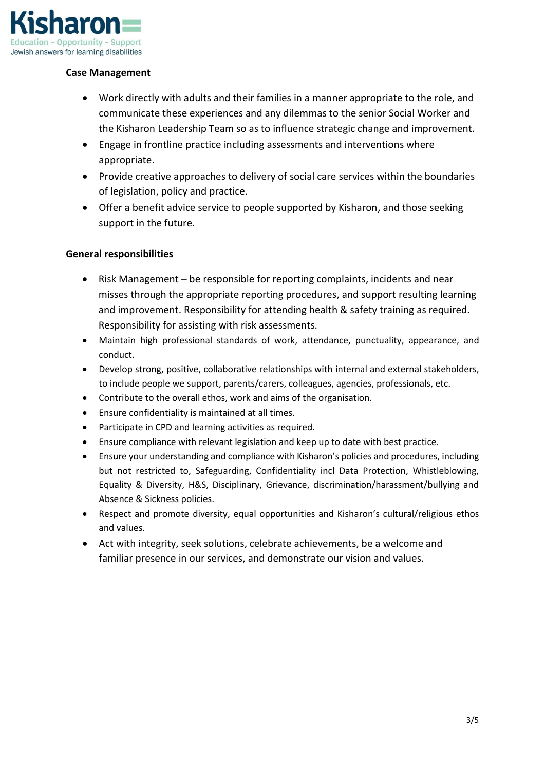

## **Case Management**

- Work directly with adults and their families in a manner appropriate to the role, and communicate these experiences and any dilemmas to the senior Social Worker and the Kisharon Leadership Team so as to influence strategic change and improvement.
- Engage in frontline practice including assessments and interventions where appropriate.
- Provide creative approaches to delivery of social care services within the boundaries of legislation, policy and practice.
- Offer a benefit advice service to people supported by Kisharon, and those seeking support in the future.

## **General responsibilities**

- Risk Management be responsible for reporting complaints, incidents and near misses through the appropriate reporting procedures, and support resulting learning and improvement. Responsibility for attending health & safety training as required. Responsibility for assisting with risk assessments.
- Maintain high professional standards of work, attendance, punctuality, appearance, and conduct.
- Develop strong, positive, collaborative relationships with internal and external stakeholders, to include people we support, parents/carers, colleagues, agencies, professionals, etc.
- Contribute to the overall ethos, work and aims of the organisation.
- Ensure confidentiality is maintained at all times.
- Participate in CPD and learning activities as required.
- Ensure compliance with relevant legislation and keep up to date with best practice.
- Ensure your understanding and compliance with Kisharon's policies and procedures, including but not restricted to, Safeguarding, Confidentiality incl Data Protection, Whistleblowing, Equality & Diversity, H&S, Disciplinary, Grievance, discrimination/harassment/bullying and Absence & Sickness policies.
- Respect and promote diversity, equal opportunities and Kisharon's cultural/religious ethos and values.
- Act with integrity, seek solutions, celebrate achievements, be a welcome and familiar presence in our services, and demonstrate our vision and values.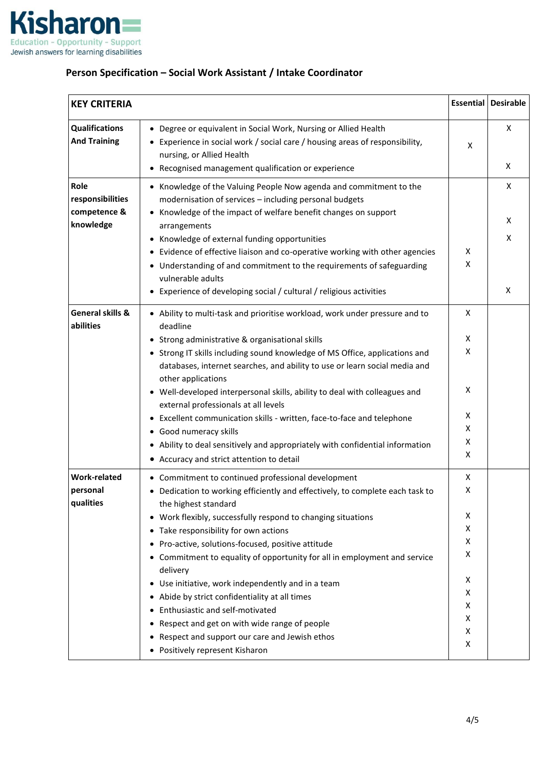

# **Person Specification – Social Work Assistant / Intake Coordinator**

| <b>KEY CRITERIA</b>                                   |                                                                                                                                                                                                                                                                                                                                                                                                                                                                                                                                                                                                                                                                                                   | <b>Essential</b>                                         | <b>Desirable</b> |
|-------------------------------------------------------|---------------------------------------------------------------------------------------------------------------------------------------------------------------------------------------------------------------------------------------------------------------------------------------------------------------------------------------------------------------------------------------------------------------------------------------------------------------------------------------------------------------------------------------------------------------------------------------------------------------------------------------------------------------------------------------------------|----------------------------------------------------------|------------------|
| <b>Qualifications</b><br><b>And Training</b>          | Degree or equivalent in Social Work, Nursing or Allied Health<br>$\bullet$<br>Experience in social work / social care / housing areas of responsibility,<br>nursing, or Allied Health<br>Recognised management qualification or experience                                                                                                                                                                                                                                                                                                                                                                                                                                                        | X                                                        | X<br>X           |
| Role<br>responsibilities<br>competence &<br>knowledge | Knowledge of the Valuing People Now agenda and commitment to the<br>modernisation of services - including personal budgets<br>Knowledge of the impact of welfare benefit changes on support<br>arrangements<br>Knowledge of external funding opportunities<br>Evidence of effective liaison and co-operative working with other agencies<br>Understanding of and commitment to the requirements of safeguarding<br>٠<br>vulnerable adults<br>Experience of developing social / cultural / religious activities<br>٠                                                                                                                                                                               | X<br>X                                                   | X<br>Χ<br>X<br>Χ |
| General skills &<br>abilities                         | • Ability to multi-task and prioritise workload, work under pressure and to<br>deadline<br>Strong administrative & organisational skills<br>Strong IT skills including sound knowledge of MS Office, applications and<br>٠<br>databases, internet searches, and ability to use or learn social media and<br>other applications<br>• Well-developed interpersonal skills, ability to deal with colleagues and<br>external professionals at all levels<br>Excellent communication skills - written, face-to-face and telephone<br>$\bullet$<br>• Good numeracy skills<br>• Ability to deal sensitively and appropriately with confidential information<br>• Accuracy and strict attention to detail | X<br>X<br>X<br>X<br>X<br>X<br>X<br>X                     |                  |
| <b>Work-related</b><br>personal<br>qualities          | • Commitment to continued professional development<br>• Dedication to working efficiently and effectively, to complete each task to<br>the highest standard<br>• Work flexibly, successfully respond to changing situations<br>Take responsibility for own actions<br>Pro-active, solutions-focused, positive attitude<br>Commitment to equality of opportunity for all in employment and service<br>delivery<br>Use initiative, work independently and in a team<br>٠<br>Abide by strict confidentiality at all times<br>Enthusiastic and self-motivated<br>Respect and get on with wide range of people<br>Respect and support our care and Jewish ethos<br>Positively represent Kisharon       | X<br>X<br>X<br>Χ<br>Χ<br>Χ<br>X<br>Χ<br>X<br>Χ<br>X<br>Χ |                  |